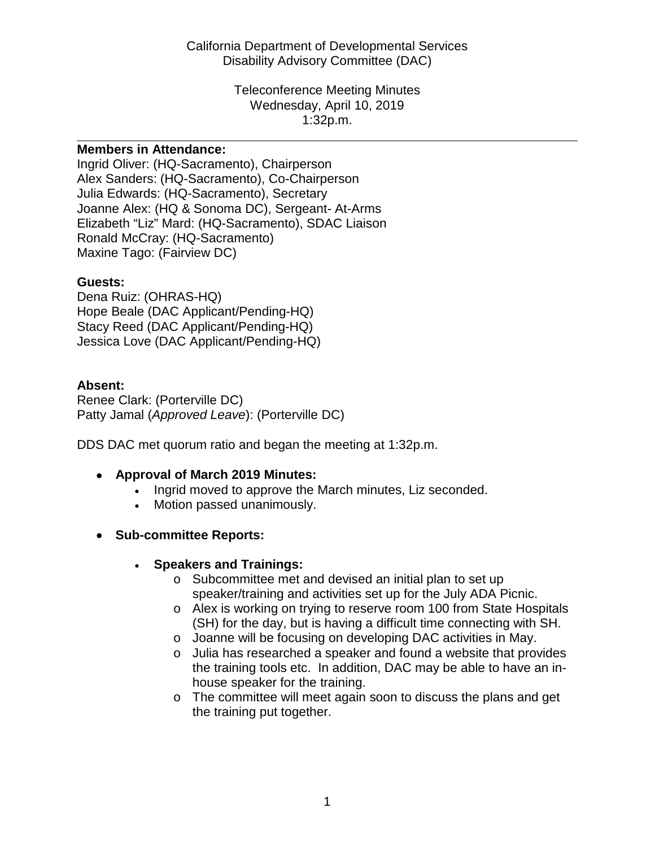Disability Advisory Committee (DAC) California Department of Developmental Services

> Wednesday, April 10, 2019 1:32p.m. Teleconference Meeting Minutes

#### **Members in Attendance:**

 Joanne Alex: (HQ & Sonoma DC), Sergeant- At-Arms Ingrid Oliver: (HQ-Sacramento), Chairperson Alex Sanders: (HQ-Sacramento), Co-Chairperson Julia Edwards: (HQ-Sacramento), Secretary Elizabeth "Liz" Mard: (HQ-Sacramento), SDAC Liaison Ronald McCray: (HQ-Sacramento) Maxine Tago: (Fairview DC)

#### **Guests:**

Dena Ruiz: (OHRAS-HQ) Hope Beale (DAC Applicant/Pending-HQ) Stacy Reed (DAC Applicant/Pending-HQ) Jessica Love (DAC Applicant/Pending-HQ)

#### **Absent:**

Renee Clark: (Porterville DC) Patty Jamal (*Approved Leave*): (Porterville DC)

DDS DAC met quorum ratio and began the meeting at 1:32p.m.

- **Approval of March 2019 Minutes:** 
	- Ingrid moved to approve the March minutes, Liz seconded.
	- Motion passed unanimously.
- **Sub-committee Reports:** 
	- **Speakers and Trainings:** 
		- o Subcommittee met and devised an initial plan to set up speaker/training and activities set up for the July ADA Picnic.
		- (SH) for the day, but is having a difficult time connecting with SH. o Alex is working on trying to reserve room 100 from State Hospitals
		- o Joanne will be focusing on developing DAC activities in May.
		- the training tools etc. In addition, DAC may be able to have an ino Julia has researched a speaker and found a website that provides house speaker for the training.
		- o The committee will meet again soon to discuss the plans and get the training put together.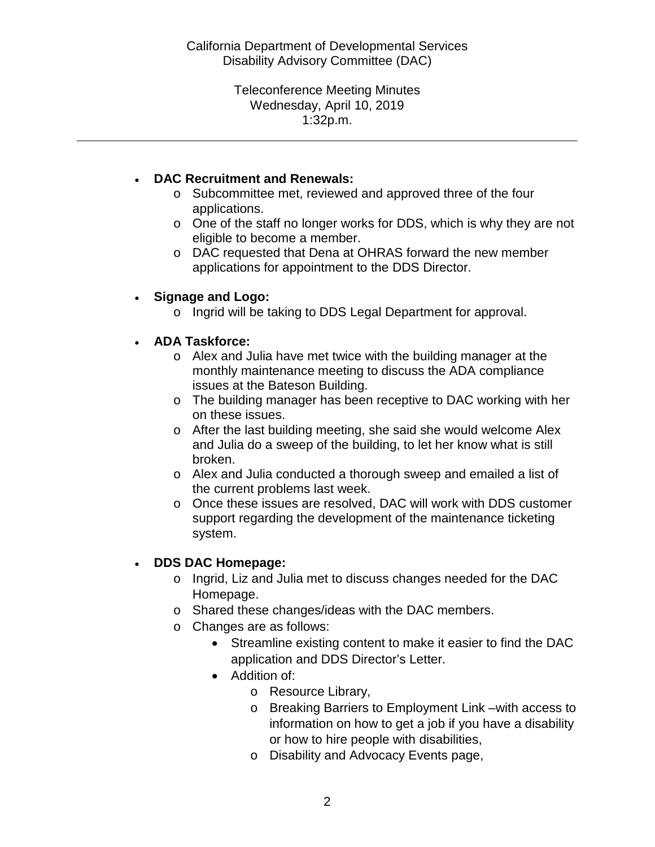Wednesday, April 10, 2019 1:32p.m. Teleconference Meeting Minutes

### • **DAC Recruitment and Renewals:**

- o Subcommittee met, reviewed and approved three of the four applications.
- o One of the staff no longer works for DDS, which is why they are not eligible to become a member.

 applications for appointment to the DDS Director. o DAC requested that Dena at OHRAS forward the new member

## • **Signage and Logo:**

o Ingrid will be taking to DDS Legal Department for approval.

### • **ADA Taskforce:**

- o Alex and Julia have met twice with the building manager at the monthly maintenance meeting to discuss the ADA compliance issues at the Bateson Building.
- o The building manager has been receptive to DAC working with her on these issues.
- and Julia do a sweep of the building, to let her know what is still o After the last building meeting, she said she would welcome Alex broken.
- o Alex and Julia conducted a thorough sweep and emailed a list of the current problems last week.
- o Once these issues are resolved, DAC will work with DDS customer support regarding the development of the maintenance ticketing system.

## • **DDS DAC Homepage:**

- o Ingrid, Liz and Julia met to discuss changes needed for the DAC Homepage.
- o Shared these changes/ideas with the DAC members.
- o Changes are as follows:
	- • Streamline existing content to make it easier to find the DAC application and DDS Director's Letter.
	- Addition of:
		- o Resource Library,
		- information on how to get a job if you have a disability o Breaking Barriers to Employment Link –with access to or how to hire people with disabilities,
		- o Disability and Advocacy Events page,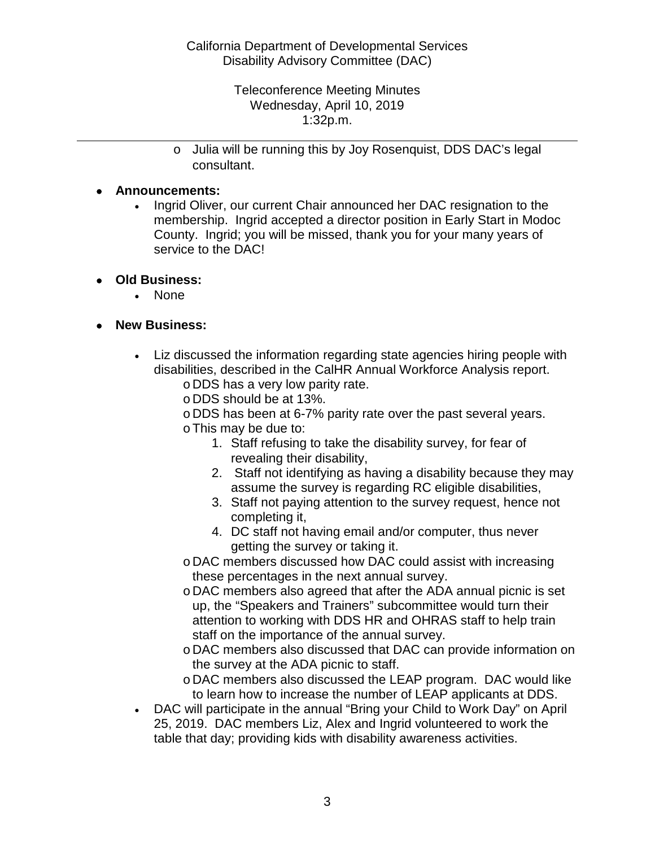Wednesday, April 10, 2019 1:32p.m. Teleconference Meeting Minutes

 o Julia will be running this by Joy Rosenquist, DDS DAC's legal consultant.

### • **Announcements:**

- membership. Ingrid accepted a director position in Early Start in Modoc • Ingrid Oliver, our current Chair announced her DAC resignation to the County. Ingrid; you will be missed, thank you for your many years of service to the DAC!
- **Old Business:** 
	- None
- **New Business:** 
	- disabilities, described in the CalHR Annual Workforce Analysis report. • Liz discussed the information regarding state agencies hiring people with
		- o DDS has a very low parity rate.
		- o DDS should be at 13%.
		- o DDS has been at 6-7% parity rate over the past several years.
		- oThis may be due to:
			- 1. Staff refusing to take the disability survey, for fear of revealing their disability,
			- 2. Staff not identifying as having a disability because they may assume the survey is regarding RC eligible disabilities,
			- 3. Staff not paying attention to the survey request, hence not completing it,
			- 4. DC staff not having email and/or computer, thus never getting the survey or taking it.
		- o DAC members discussed how DAC could assist with increasing these percentages in the next annual survey.
		- o DAC members also agreed that after the ADA annual picnic is set up, the "Speakers and Trainers" subcommittee would turn their attention to working with DDS HR and OHRAS staff to help train staff on the importance of the annual survey.
		- o DAC members also discussed that DAC can provide information on the survey at the ADA picnic to staff.
		- to learn how to increase the number of LEAP applicants at DDS. o DAC members also discussed the LEAP program. DAC would like
	- DAC will participate in the annual "Bring your Child to Work Day" on April 25, 2019. DAC members Liz, Alex and Ingrid volunteered to work the table that day; providing kids with disability awareness activities.